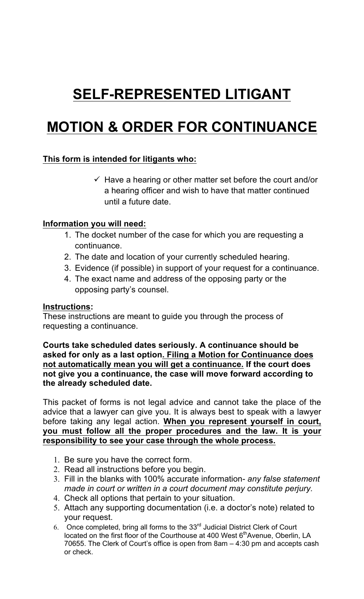# **SELF-REPRESENTED LITIGANT**

## **MOTION & ORDER FOR CONTINUANCE**

### **This form is intended for litigants who:**

 $\checkmark$  Have a hearing or other matter set before the court and/or a hearing officer and wish to have that matter continued until a future date.

#### **Information you will need:**

- 1. The docket number of the case for which you are requesting a continuance.
- 2. The date and location of your currently scheduled hearing.
- 3. Evidence (if possible) in support of your request for a continuance.
- 4. The exact name and address of the opposing party or the opposing party's counsel.

#### **Instructions:**

These instructions are meant to guide you through the process of requesting a continuance.

#### **Courts take scheduled dates seriously. A continuance should be asked for only as a last option. Filing a Motion for Continuance does not automatically mean you will get a continuance. If the court does not give you a continuance, the case will move forward according to the already scheduled date.**

This packet of forms is not legal advice and cannot take the place of the advice that a lawyer can give you. It is always best to speak with a lawyer before taking any legal action. **When you represent yourself in court, you must follow all the proper procedures and the law. It is your responsibility to see your case through the whole process.** 

- 1. Be sure you have the correct form.
- 2. Read all instructions before you begin.
- 3. Fill in the blanks with 100% accurate information- *any false statement made in court or written in a court document may constitute perjury.*
- 4. Check all options that pertain to your situation.
- 5. Attach any supporting documentation (i.e. a doctor's note) related to your request.
- 6. Once completed, bring all forms to the 33rd Judicial District Clerk of Court located on the first floor of the Courthouse at 400 West 6<sup>th</sup>Avenue, Oberlin, LA 70655. The Clerk of Court's office is open from 8am – 4:30 pm and accepts cash or check.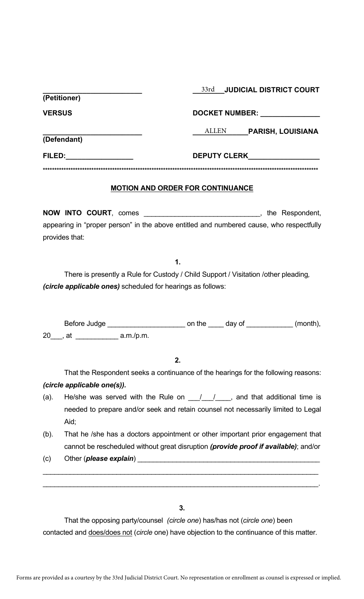| (Petitioner)  | 33rd<br><b>JUDICIAL DISTRICT COURT</b>   |  |
|---------------|------------------------------------------|--|
| <b>VERSUS</b> | <b>DOCKET NUMBER:</b>                    |  |
| (Defendant)   | <b>ALLEN</b><br><b>PARISH, LOUISIANA</b> |  |
| FILED:        | <b>DEPUTY CLERK</b>                      |  |
|               |                                          |  |
|               | MOTION AND ODDED EOD CONTINUIANCE        |  |

#### **MOTION AND ORDER FOR CONTINUANCE**

**NOW INTO COURT**, comes \_\_\_\_\_\_\_\_\_\_\_\_\_\_\_\_\_\_\_\_\_\_\_\_\_\_\_\_\_\_, the Respondent, appearing in "proper person" in the above entitled and numbered cause, who respectfully provides that:

**1.** 

There is presently a Rule for Custody / Child Support / Visitation /other pleading*, (circle applicable ones)* scheduled for hearings as follows:

Before Judge \_\_\_\_\_\_\_\_\_\_\_\_\_\_\_\_\_\_\_\_ on the \_\_\_\_ day of \_\_\_\_\_\_\_\_\_\_\_\_ (month), 20\_\_\_, at \_\_\_\_\_\_\_\_\_\_\_ a.m./p.m.

**2.** 

That the Respondent seeks a continuance of the hearings for the following reasons: *(circle applicable one(s)).*

- (a). He/she was served with the Rule on  $\frac{1}{\sqrt{2}}$ , and that additional time is needed to prepare and/or seek and retain counsel not necessarily limited to Legal Aid;
- (b). That he /she has a doctors appointment or other important prior engagement that cannot be rescheduled without great disruption *(provide proof if available)*; and/or

 $\mathcal{L}_\text{max} = \mathcal{L}_\text{max} = \mathcal{L}_\text{max} = \mathcal{L}_\text{max} = \mathcal{L}_\text{max} = \mathcal{L}_\text{max} = \mathcal{L}_\text{max} = \mathcal{L}_\text{max} = \mathcal{L}_\text{max} = \mathcal{L}_\text{max} = \mathcal{L}_\text{max} = \mathcal{L}_\text{max} = \mathcal{L}_\text{max} = \mathcal{L}_\text{max} = \mathcal{L}_\text{max} = \mathcal{L}_\text{max} = \mathcal{L}_\text{max} = \mathcal{L}_\text{max} = \mathcal{$ 

 $\mathcal{L}_\text{max} = \mathcal{L}_\text{max} = \mathcal{L}_\text{max} = \mathcal{L}_\text{max} = \mathcal{L}_\text{max} = \mathcal{L}_\text{max} = \mathcal{L}_\text{max} = \mathcal{L}_\text{max} = \mathcal{L}_\text{max} = \mathcal{L}_\text{max} = \mathcal{L}_\text{max} = \mathcal{L}_\text{max} = \mathcal{L}_\text{max} = \mathcal{L}_\text{max} = \mathcal{L}_\text{max} = \mathcal{L}_\text{max} = \mathcal{L}_\text{max} = \mathcal{L}_\text{max} = \mathcal{$ 

(c) Other (*please explain*) <u>example and the contract of the contract of the contract of the contract of the contract of the contract of the contract of the contract of the contract of the contract of the contract of the </u>

**3.** 

That the opposing party/counsel *(circle one*) has/has not (*circle one*) been contacted and does/does not (*circle* one) have objection to the continuance of this matter.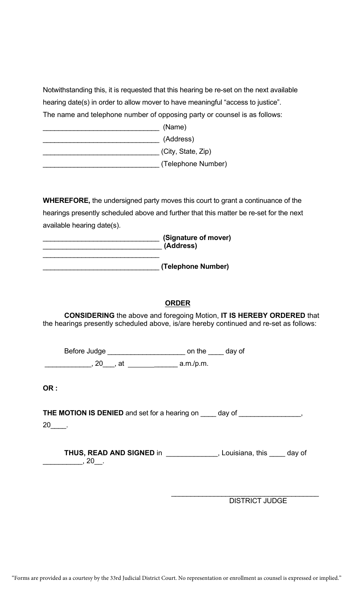Notwithstanding this, it is requested that this hearing be re-set on the next available hearing date(s) in order to allow mover to have meaningful "access to justice". The name and telephone number of opposing party or counsel is as follows: \_\_\_\_\_\_\_\_\_\_\_\_\_\_\_\_\_\_\_\_\_\_\_\_\_\_\_\_\_\_ (Name)

\_\_\_\_\_\_\_\_\_\_\_\_\_\_\_\_\_\_\_\_\_\_\_\_\_\_\_\_\_\_ (Address) \_\_\_\_\_\_\_\_\_\_\_\_\_\_\_\_\_\_\_\_\_\_\_\_\_\_\_\_\_\_ (City, State, Zip)

\_\_\_\_\_\_\_\_\_\_\_\_\_\_\_\_\_\_\_\_\_\_\_\_\_\_\_\_\_\_ (Telephone Number)

**WHEREFORE,** the undersigned party moves this court to grant a continuance of the hearings presently scheduled above and further that this matter be re-set for the next available hearing date(s).

| (Signature of mover)<br>(Address) |
|-----------------------------------|
| (Telephone Number)                |

#### **ORDER**

**CONSIDERING** the above and foregoing Motion, **IT IS HEREBY ORDERED** that the hearings presently scheduled above, is/are hereby continued and re-set as follows:

Before Judge \_\_\_\_\_\_\_\_\_\_\_\_\_\_\_\_\_\_\_\_\_\_\_\_\_\_\_\_\_\_\_\_ on the \_\_\_\_\_\_ day of \_\_\_\_\_\_\_\_\_\_\_\_, 20\_\_\_, at \_\_\_\_\_\_ a.m./p.m.

**OR :** 

**THE MOTION IS DENIED** and set for a hearing on \_\_\_\_ day of \_\_\_\_\_\_\_\_\_\_\_\_\_\_\_\_, 20\_\_\_\_.

**THUS, READ AND SIGNED** in \_\_\_\_\_\_\_\_\_\_\_\_\_, Louisiana, this \_\_\_\_ day of  $\frac{1}{20}$ , 20 $\frac{1}{20}$ .

> \_\_\_\_\_\_\_\_\_\_\_\_\_\_\_\_\_\_\_\_\_\_\_\_\_\_\_\_\_\_\_\_\_\_\_\_\_\_ DISTRICT JUDGE